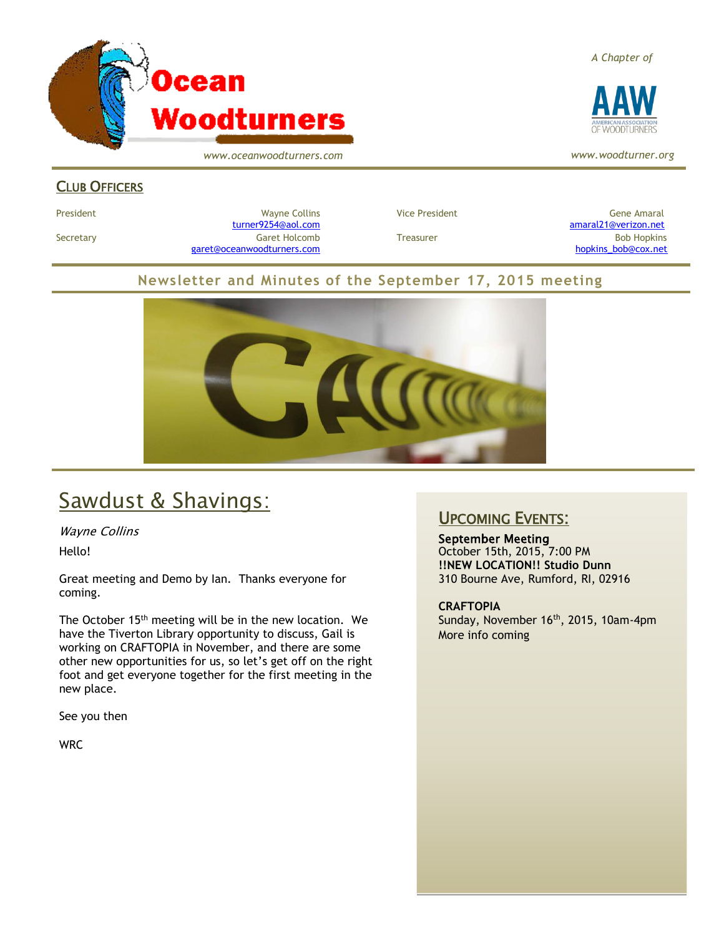

*www.oceanwoodturners.com*

### *A Chapter of*



*www.woodturner.org*

### CLUB OFFICERS

President Chronicle Collins Mayne Collins Collins Vice President Chronicle Collins (Gene Amaral Secretary Garet Holcomb Treasurer Bob Hopkins Bob Hopkins (Bob Hopkins Garet Holcomb [garet@oceanwoodturners.com](mailto:garet@oceanwoodturners.com) and the state of the state of the state of the state of the state of the state of the state of the state of the state of the state of the state of the state of the state of the state of the state

[turner9254@aol.com](mailto:turner9254@aol.com) [amaral21@verizon.net](mailto:amaral21@verizon.net)

### **Newsletter and Minutes of the September 17, 2015 meeting**



## Sawdust & Shavings:

Wayne Collins

Hello!

Great meeting and Demo by Ian. Thanks everyone for coming.

The October 15<sup>th</sup> meeting will be in the new location. We have the Tiverton Library opportunity to discuss, Gail is working on CRAFTOPIA in November, and there are some other new opportunities for us, so let's get off on the right foot and get everyone together for the first meeting in the new place.

See you then

**WRC** 

### UPCOMING EVENTS:

September Meeting October 15th, 2015, 7:00 PM **!!NEW LOCATION!! Studio Dunn** 310 Bourne Ave, Rumford, RI, 02916

**CRAFTOPIA** Sunday, November 16<sup>th</sup>, 2015, 10am-4pm More info coming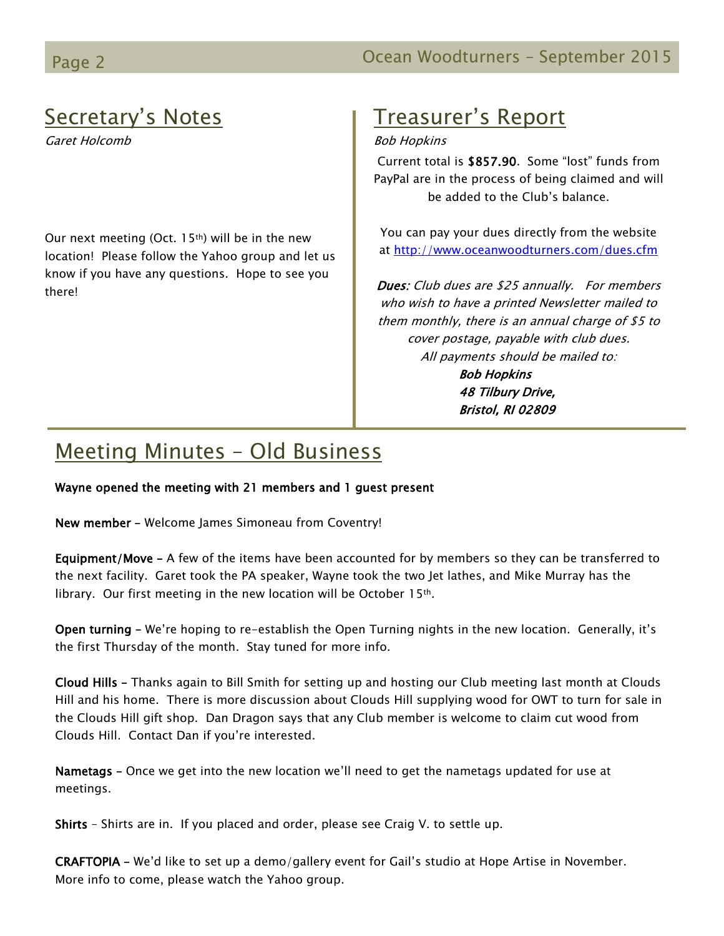## Secretary's Notes

Garet Holcomb

Our next meeting (Oct.  $15<sup>th</sup>$ ) will be in the new location! Please follow the Yahoo group and let us know if you have any questions. Hope to see you there!

## Treasurer's Report

### Bob Hopkins

Current total is \$857.90. Some "lost" funds from PayPal are in the process of being claimed and will be added to the Club's balance.

You can pay your dues directly from the website at<http://www.oceanwoodturners.com/dues.cfm>

Dues: Club dues are \$25 annually. For members who wish to have a printed Newsletter mailed to them monthly, there is an annual charge of \$5 to cover postage, payable with club dues. All payments should be mailed to: Bob Hopkins 48 Tilbury Drive, Bristol, RI 02809

## Meeting Minutes – Old Business

Wayne opened the meeting with 21 members and 1 guest present

New member – Welcome James Simoneau from Coventry!

Equipment/Move - A few of the items have been accounted for by members so they can be transferred to the next facility. Garet took the PA speaker, Wayne took the two Jet lathes, and Mike Murray has the library. Our first meeting in the new location will be October 15th.

Open turning – We're hoping to re-establish the Open Turning nights in the new location. Generally, it's the first Thursday of the month. Stay tuned for more info.

Cloud Hills – Thanks again to Bill Smith for setting up and hosting our Club meeting last month at Clouds Hill and his home. There is more discussion about Clouds Hill supplying wood for OWT to turn for sale in the Clouds Hill gift shop. Dan Dragon says that any Club member is welcome to claim cut wood from Clouds Hill. Contact Dan if you're interested.

Nametags – Once we get into the new location we'll need to get the nametags updated for use at meetings.

Shirts – Shirts are in. If you placed and order, please see Craig V. to settle up.

CRAFTOPIA – We'd like to set up a demo/gallery event for Gail's studio at Hope Artise in November. More info to come, please watch the Yahoo group.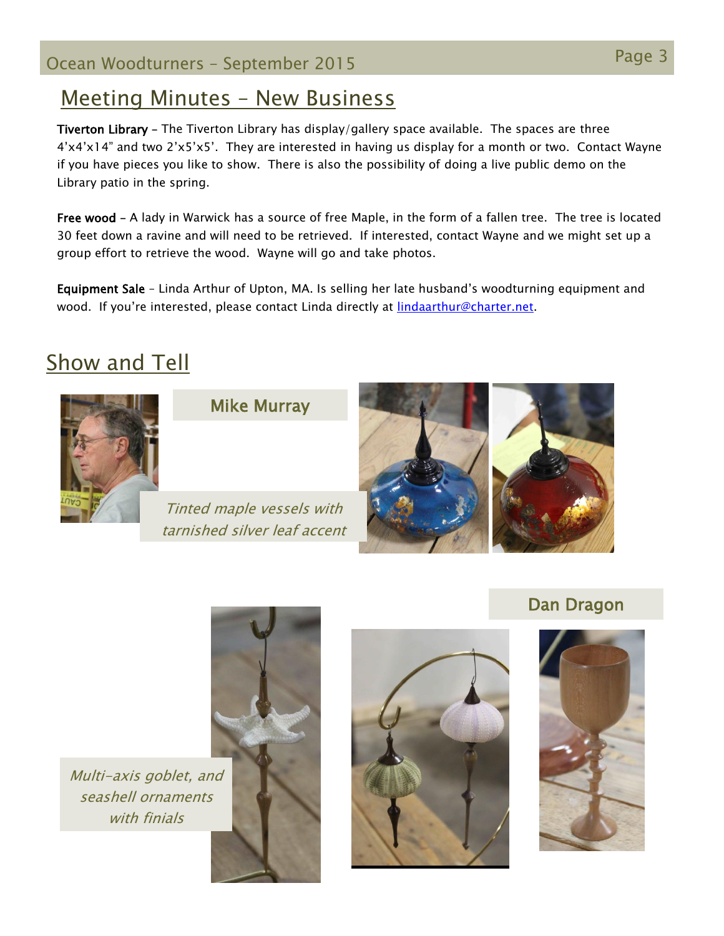## Page 3 Ocean Woodturners – September <sup>2015</sup>

### Meeting Minutes – New Business

Tiverton Library – The Tiverton Library has display/gallery space available. The spaces are three 4'x4'x14" and two 2'x5'x5'. They are interested in having us display for a month or two. Contact Wayne if you have pieces you like to show. There is also the possibility of doing a live public demo on the Library patio in the spring.

Free wood – A lady in Warwick has a source of free Maple, in the form of a fallen tree. The tree is located 30 feet down a ravine and will need to be retrieved. If interested, contact Wayne and we might set up a group effort to retrieve the wood. Wayne will go and take photos.

Equipment Sale – Linda Arthur of Upton, MA. Is selling her late husband's woodturning equipment and wood. If you're interested, please contact Linda directly at [lindaarthur@charter.net.](lindaarthur@charter.net)

## **Show and Tell**



Mike Murray

Tinted maple vessels with tarnished silver leaf accent





Multi-axis goblet, and seashell ornaments with finials





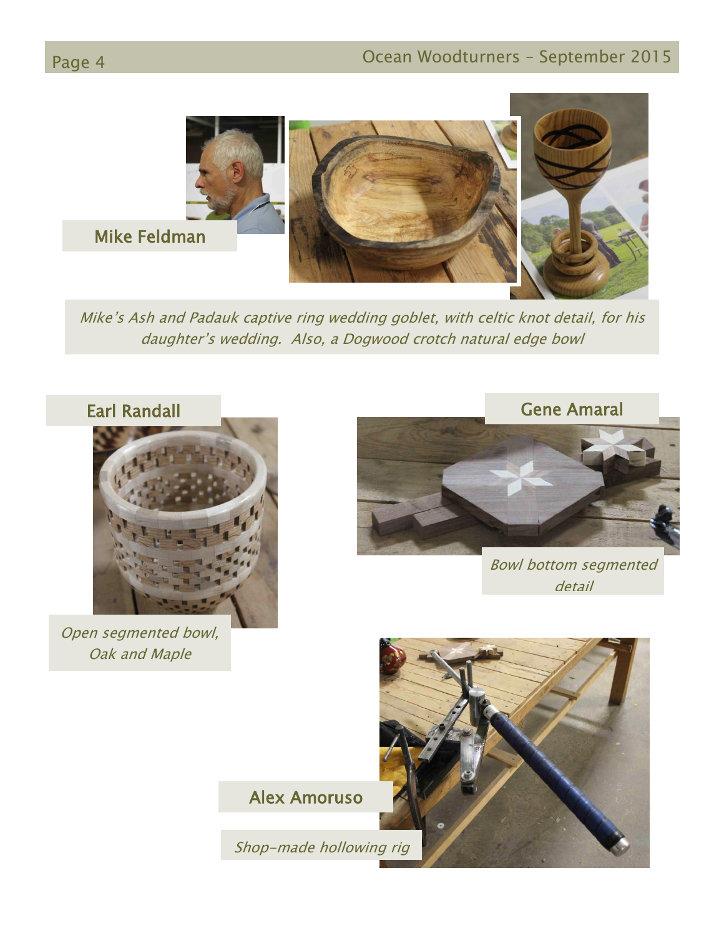

Mike's Ash and Padauk captive ring wedding goblet, with celtic knot detail, for his daughter's wedding. Also, a Dogwood crotch natural edge bowl



Open segmented bowl, Oak and Maple



Bowl bottom segmented detail

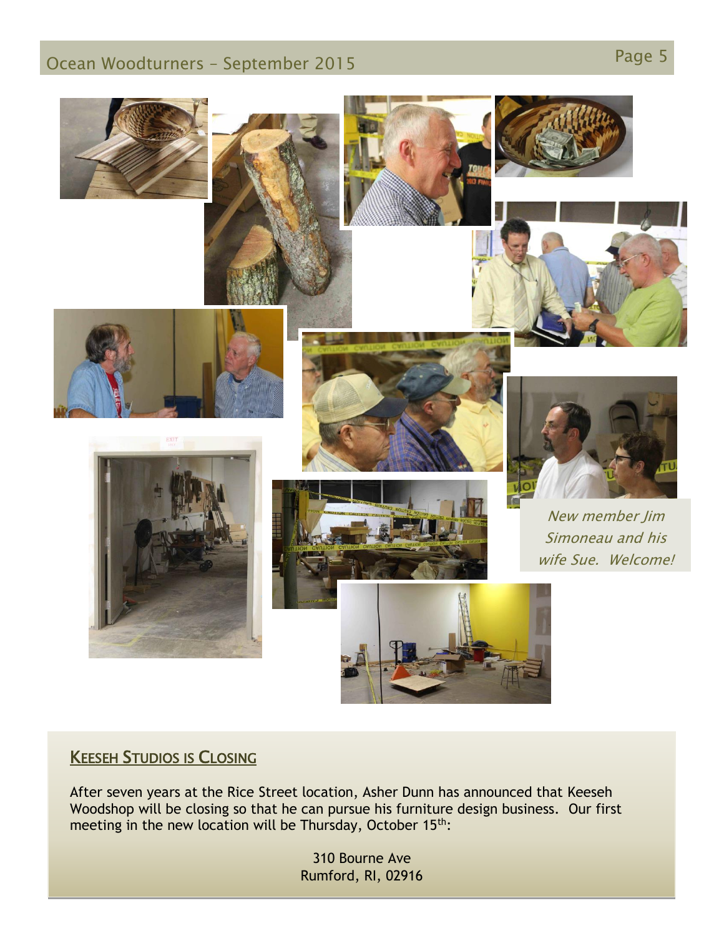## Page 5 Ocean Woodturners – September <sup>2015</sup>



### KEESEH STUDIOS IS CLOSING

After seven years at the Rice Street location, Asher Dunn has announced that Keeseh Woodshop will be closing so that he can pursue his furniture design business. Our first meeting in the new location will be Thursday, October 15<sup>th</sup>:

> 310 Bourne Ave Rumford, RI, 02916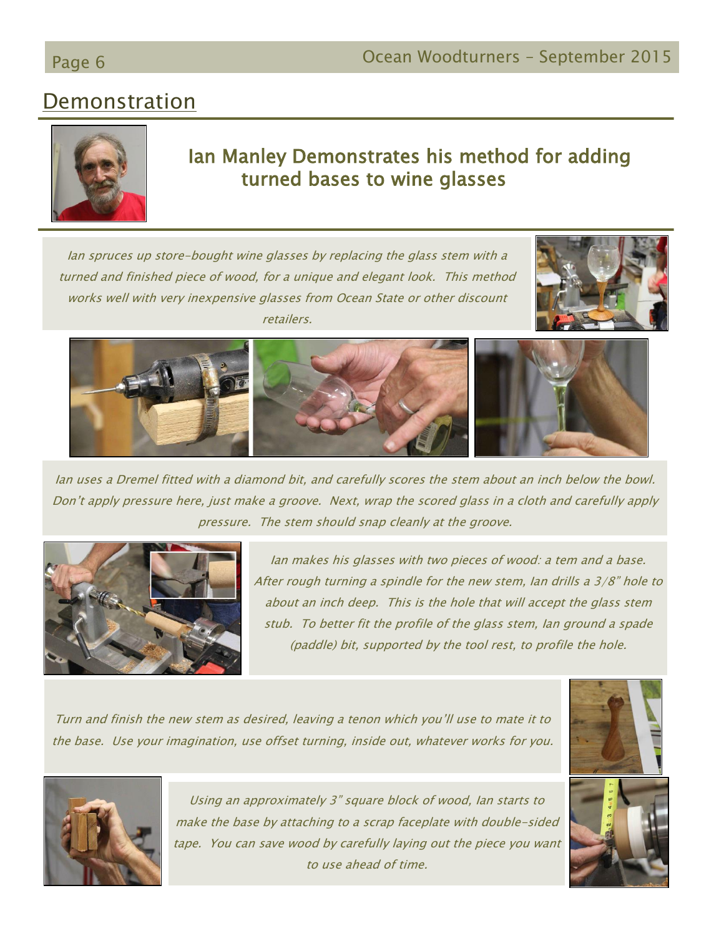# Demonstration



### Ian Manley Demonstrates his method for adding turned bases to wine glasses

Ian spruces up store-bought wine glasses by replacing the glass stem with a turned and finished piece of wood, for a unique and elegant look. This method works well with very inexpensive glasses from Ocean State or other discount retailers.





Ian uses a Dremel fitted with a diamond bit, and carefully scores the stem about an inch below the bowl. Don't apply pressure here, just make a groove. Next, wrap the scored glass in a cloth and carefully apply pressure. The stem should snap cleanly at the groove.



Ian makes his glasses with two pieces of wood: a tem and a base. After rough turning a spindle for the new stem, Ian drills a 3/8" hole to about an inch deep. This is the hole that will accept the glass stem stub. To better fit the profile of the glass stem, Ian ground a spade (paddle) bit, supported by the tool rest, to profile the hole.

Turn and finish the new stem as desired, leaving a tenon which you'll use to mate it to the base. Use your imagination, use offset turning, inside out, whatever works for you.





Using an approximately 3" square block of wood, Ian starts to make the base by attaching to a scrap faceplate with double-sided tape. You can save wood by carefully laying out the piece you want to use ahead of time.